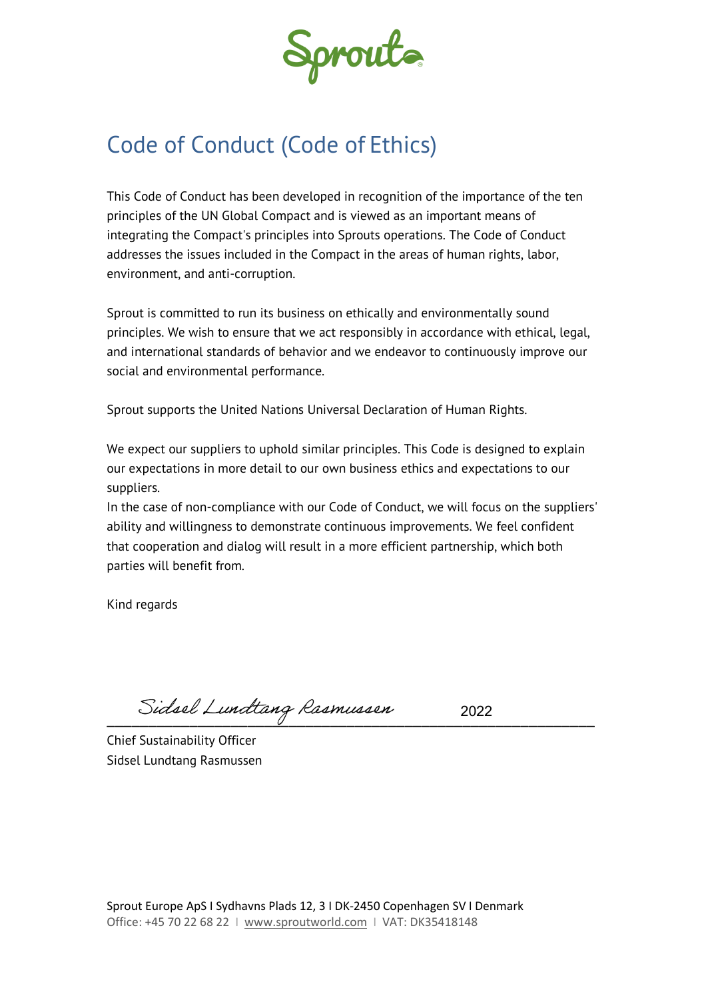Sprouto

# Code of Conduct (Code of Ethics)

This Code of Conduct has been developed in recognition of the importance of the ten principles of the UN Global Compact and is viewed as an important means of integrating the Compact's principles into Sprouts operations. The Code of Conduct addresses the issues included in the Compact in the areas of human rights, labor, environment, and anti-corruption.

Sprout is committed to run its business on ethically and environmentally sound principles. We wish to ensure that we act responsibly in accordance with ethical, legal, and international standards of behavior and we endeavor to continuously improve our social and environmental performance.

Sprout supports the United Nations Universal Declaration of Human Rights.

We expect our suppliers to uphold similar principles. This Code is designed to explain our expectations in more detail to our own business ethics and expectations to our suppliers.

In the case of non-compliance with our Code of Conduct, we will focus on the suppliers' ability and willingness to demonstrate continuous improvements. We feel confident that cooperation and dialog will result in a more efficient partnership, which both parties will benefit from.

Kind regards

Sidsel Lundtang Rasmussen

2022

Chief Sustainability Officer Sidsel Lundtang Rasmussen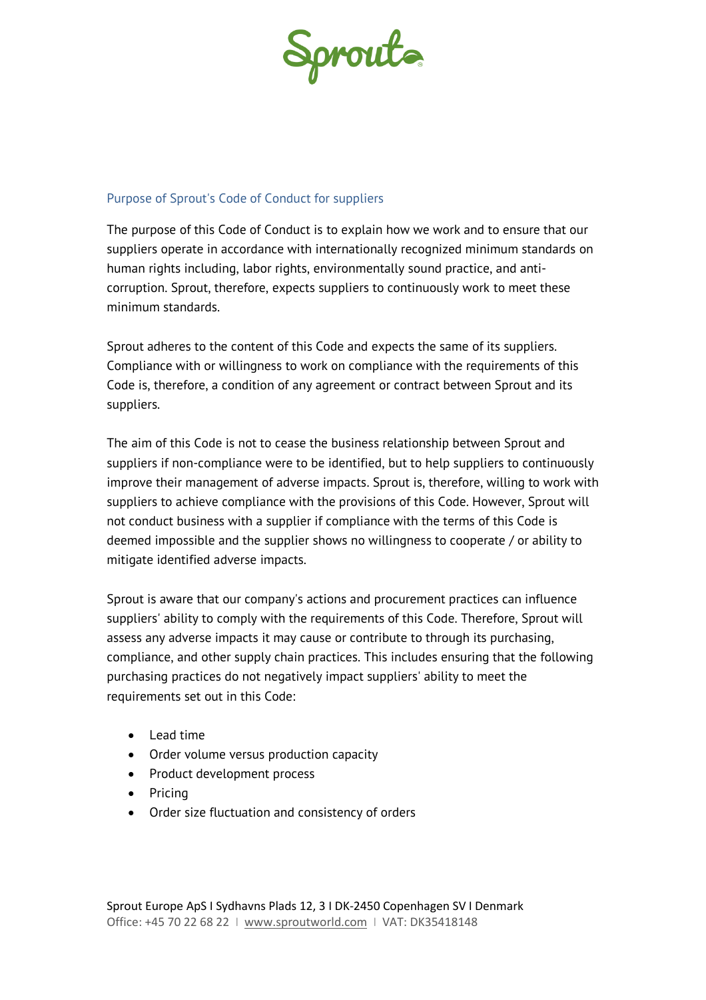Sprouto

## Purpose of Sprout's Code of Conduct for suppliers

The purpose of this Code of Conduct is to explain how we work and to ensure that our suppliers operate in accordance with internationally recognized minimum standards on human rights including, labor rights, environmentally sound practice, and anticorruption. Sprout, therefore, expects suppliers to continuously work to meet these minimum standards.

Sprout adheres to the content of this Code and expects the same of its suppliers. Compliance with or willingness to work on compliance with the requirements of this Code is, therefore, a condition of any agreement or contract between Sprout and its suppliers.

The aim of this Code is not to cease the business relationship between Sprout and suppliers if non-compliance were to be identified, but to help suppliers to continuously improve their management of adverse impacts. Sprout is, therefore, willing to work with suppliers to achieve compliance with the provisions of this Code. However, Sprout will not conduct business with a supplier if compliance with the terms of this Code is deemed impossible and the supplier shows no willingness to cooperate / or ability to mitigate identified adverse impacts.

Sprout is aware that our company's actions and procurement practices can influence suppliers' ability to comply with the requirements of this Code. Therefore, Sprout will assess any adverse impacts it may cause or contribute to through its purchasing, compliance, and other supply chain practices. This includes ensuring that the following purchasing practices do not negatively impact suppliers' ability to meet the requirements set out in this Code:

- Lead time
- Order volume versus production capacity
- Product development process
- Pricing
- Order size fluctuation and consistency of orders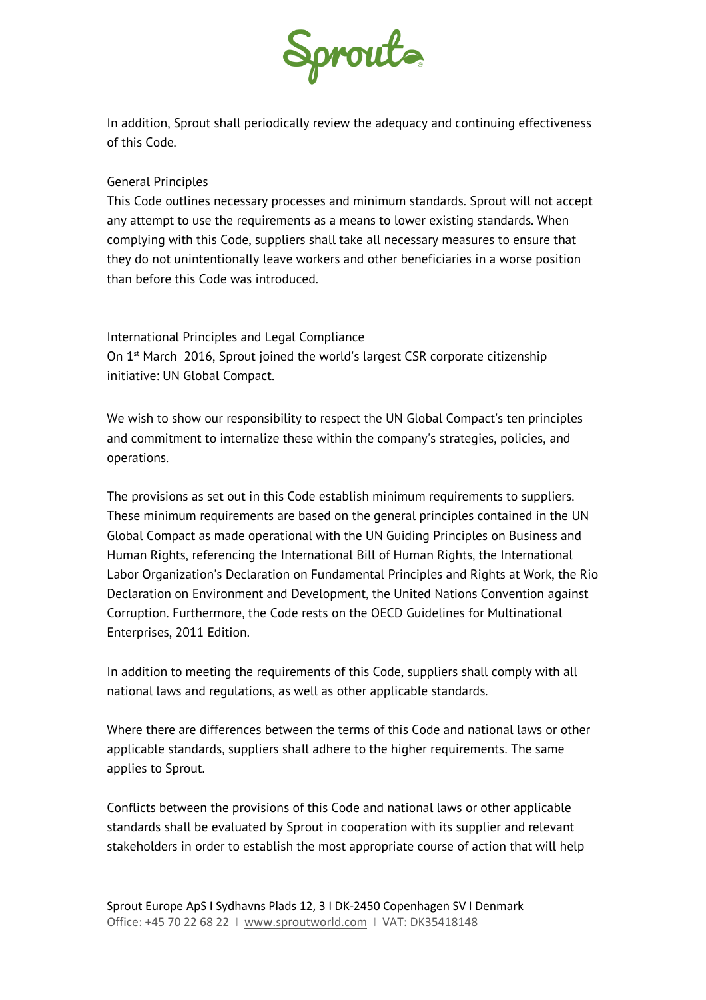

In addition, Sprout shall periodically review the adequacy and continuing effectiveness of this Code.

## General Principles

This Code outlines necessary processes and minimum standards. Sprout will not accept any attempt to use the requirements as a means to lower existing standards. When complying with this Code, suppliers shall take all necessary measures to ensure that they do not unintentionally leave workers and other beneficiaries in a worse position than before this Code was introduced.

International Principles and Legal Compliance On 1<sup>st</sup> March 2016, Sprout joined the world's largest CSR corporate citizenship initiative: UN Global Compact.

We wish to show our responsibility to respect the UN Global Compact's ten principles and commitment to internalize these within the company's strategies, policies, and operations.

The provisions as set out in this Code establish minimum requirements to suppliers. These minimum requirements are based on the general principles contained in the UN Global Compact as made operational with the UN Guiding Principles on Business and Human Rights, referencing the International Bill of Human Rights, the International Labor Organization's Declaration on Fundamental Principles and Rights at Work, the Rio Declaration on Environment and Development, the United Nations Convention against Corruption. Furthermore, the Code rests on the OECD Guidelines for Multinational Enterprises, 2011 Edition.

In addition to meeting the requirements of this Code, suppliers shall comply with all national laws and regulations, as well as other applicable standards.

Where there are differences between the terms of this Code and national laws or other applicable standards, suppliers shall adhere to the higher requirements. The same applies to Sprout.

Conflicts between the provisions of this Code and national laws or other applicable standards shall be evaluated by Sprout in cooperation with its supplier and relevant stakeholders in order to establish the most appropriate course of action that will help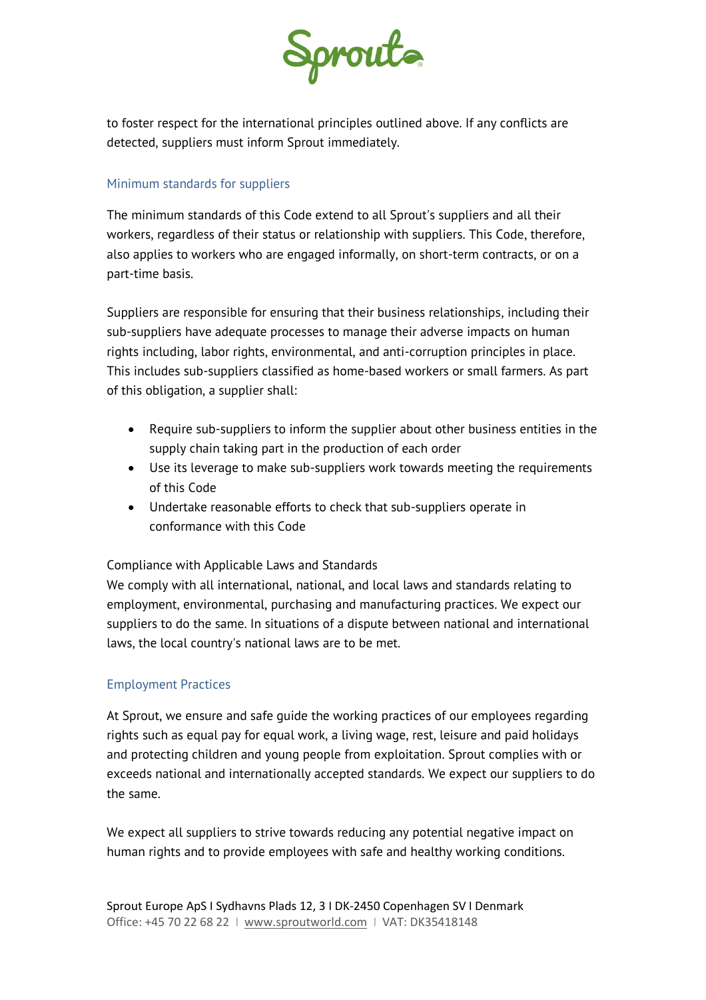

to foster respect for the international principles outlined above. If any conflicts are detected, suppliers must inform Sprout immediately.

# Minimum standards for suppliers

The minimum standards of this Code extend to all Sprout's suppliers and all their workers, regardless of their status or relationship with suppliers. This Code, therefore, also applies to workers who are engaged informally, on short-term contracts, or on a part-time basis.

Suppliers are responsible for ensuring that their business relationships, including their sub-suppliers have adequate processes to manage their adverse impacts on human rights including, labor rights, environmental, and anti-corruption principles in place. This includes sub-suppliers classified as home-based workers or small farmers. As part of this obligation, a supplier shall:

- Require sub-suppliers to inform the supplier about other business entities in the supply chain taking part in the production of each order
- Use its leverage to make sub-suppliers work towards meeting the requirements of this Code
- Undertake reasonable efforts to check that sub-suppliers operate in conformance with this Code

### Compliance with Applicable Laws and Standards

We comply with all international, national, and local laws and standards relating to employment, environmental, purchasing and manufacturing practices. We expect our suppliers to do the same. In situations of a dispute between national and international laws, the local country's national laws are to be met.

# Employment Practices

At Sprout, we ensure and safe guide the working practices of our employees regarding rights such as equal pay for equal work, a living wage, rest, leisure and paid holidays and protecting children and young people from exploitation. Sprout complies with or exceeds national and internationally accepted standards. We expect our suppliers to do the same.

We expect all suppliers to strive towards reducing any potential negative impact on human rights and to provide employees with safe and healthy working conditions.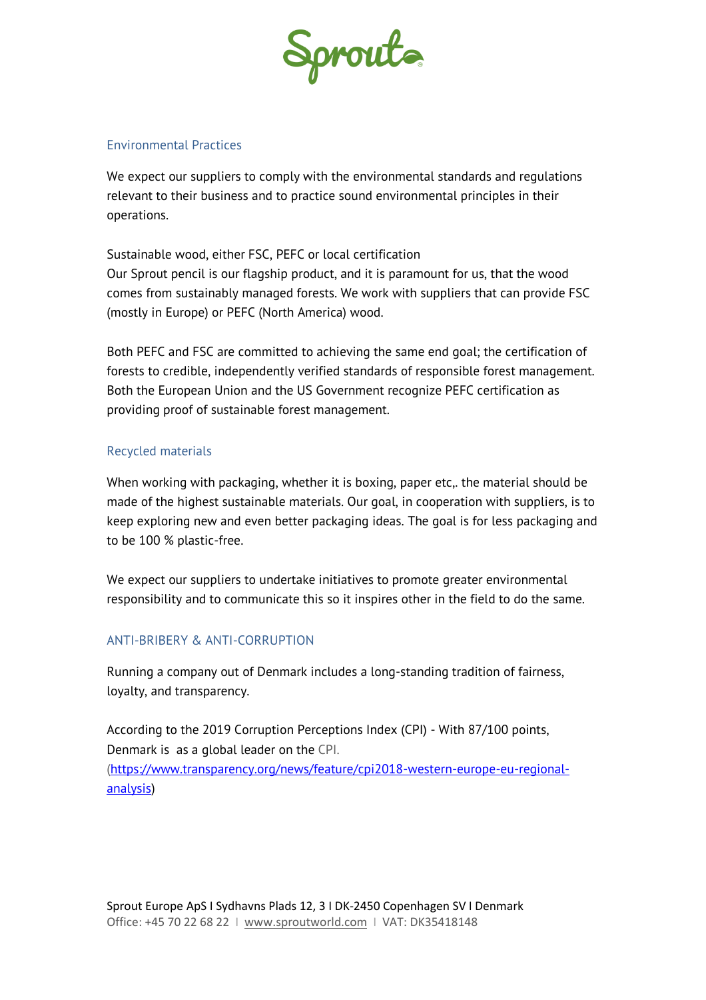

## Environmental Practices

We expect our suppliers to comply with the environmental standards and regulations relevant to their business and to practice sound environmental principles in their operations.

Sustainable wood, either FSC, PEFC or local certification Our Sprout pencil is our flagship product, and it is paramount for us, that the wood comes from sustainably managed forests. We work with suppliers that can provide FSC (mostly in Europe) or PEFC (North America) wood.

Both PEFC and FSC are committed to achieving the same end goal; the certification of forests to credible, independently verified standards of responsible forest management. Both the European Union and the US Government recognize PEFC certification as providing proof of sustainable forest management.

## Recycled materials

When working with packaging, whether it is boxing, paper etc, the material should be made of the highest sustainable materials. Our goal, in cooperation with suppliers, is to keep exploring new and even better packaging ideas. The goal is for less packaging and to be 100 % plastic-free.

We expect our suppliers to undertake initiatives to promote greater environmental responsibility and to communicate this so it inspires other in the field to do the same.

### ANTI-BRIBERY & ANTI-CORRUPTION

Running a company out of Denmark includes a long-standing tradition of fairness, loyalty, and transparency.

According to the 2019 Corruption Perceptions Index (CPI) - With 87/100 points, Denmark is as a global leader on the CPI.

[\(https://www.transparency.org/news/feature/cpi2018-western-europe-eu-regional](https://www.transparency.org/news/feature/cpi2018-western-europe-eu-regional-analysis)[analysis\)](https://www.transparency.org/news/feature/cpi2018-western-europe-eu-regional-analysis)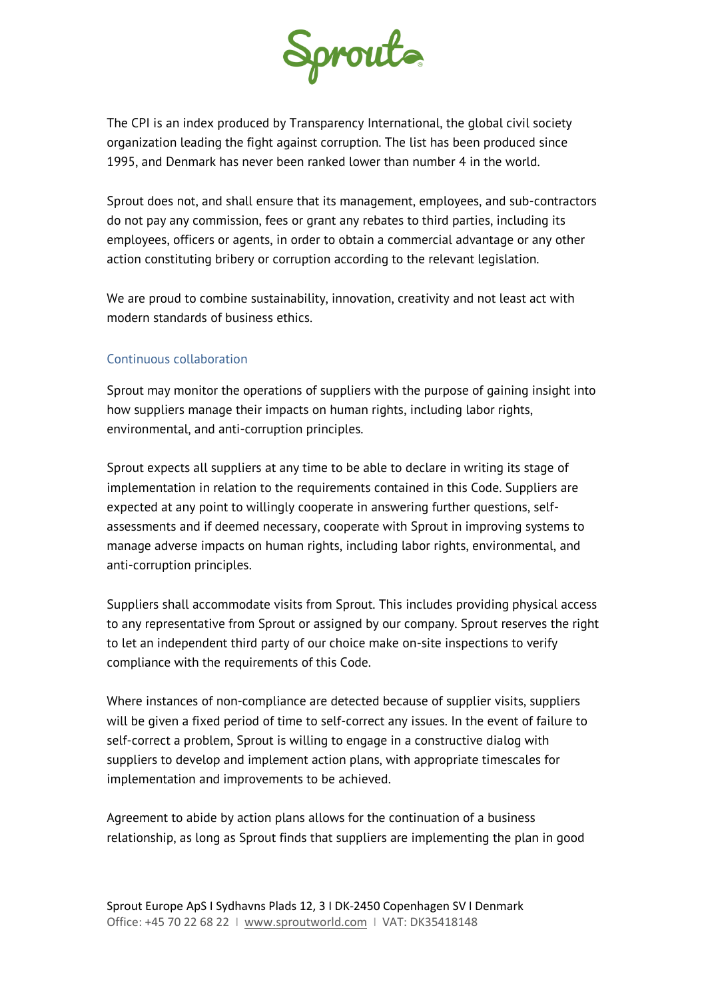

The CPI is an index produced by Transparency International, the global civil society organization leading the fight against corruption. The list has been produced since 1995, and Denmark has never been ranked lower than number 4 in the world.

Sprout does not, and shall ensure that its management, employees, and sub-contractors do not pay any commission, fees or grant any rebates to third parties, including its employees, officers or agents, in order to obtain a commercial advantage or any other action constituting bribery or corruption according to the relevant legislation.

We are proud to combine sustainability, innovation, creativity and not least act with modern standards of business ethics.

### Continuous collaboration

Sprout may monitor the operations of suppliers with the purpose of gaining insight into how suppliers manage their impacts on human rights, including labor rights, environmental, and anti-corruption principles.

Sprout expects all suppliers at any time to be able to declare in writing its stage of implementation in relation to the requirements contained in this Code. Suppliers are expected at any point to willingly cooperate in answering further questions, selfassessments and if deemed necessary, cooperate with Sprout in improving systems to manage adverse impacts on human rights, including labor rights, environmental, and anti-corruption principles.

Suppliers shall accommodate visits from Sprout. This includes providing physical access to any representative from Sprout or assigned by our company. Sprout reserves the right to let an independent third party of our choice make on-site inspections to verify compliance with the requirements of this Code.

Where instances of non-compliance are detected because of supplier visits, suppliers will be given a fixed period of time to self-correct any issues. In the event of failure to self-correct a problem, Sprout is willing to engage in a constructive dialog with suppliers to develop and implement action plans, with appropriate timescales for implementation and improvements to be achieved.

Agreement to abide by action plans allows for the continuation of a business relationship, as long as Sprout finds that suppliers are implementing the plan in good